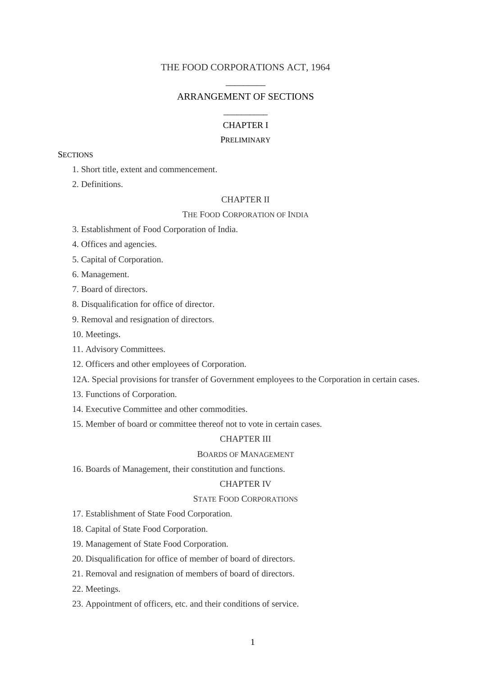### THE FOOD CORPORATIONS ACT, 1964

# \_\_\_\_\_\_\_\_\_ ARRANGEMENT OF SECTIONS \_\_\_\_\_\_\_\_\_\_

## CHAPTER I

#### PRELIMINARY

**SECTIONS** 

- 1. Short title, extent and commencement.
- 2. Definitions.

## CHAPTER II

#### THE FOOD CORPORATION OF INDIA

- 3. Establishment of Food Corporation of India.
- 4. Offices and agencies.
- 5. Capital of Corporation.
- 6. Management.
- 7. Board of directors.
- 8. Disqualification for office of director.
- 9. Removal and resignation of directors.
- 10. Meetings.
- 11. Advisory Committees.
- 12. Officers and other employees of Corporation.
- 12A. Special provisions for transfer of Government employees to the Corporation in certain cases.
- 13. Functions of Corporation.
- 14. Executive Committee and other commodities.
- 15. Member of board or committee thereof not to vote in certain cases.

## CHAPTER III

## BOARDS OF MANAGEMENT

16. Boards of Management, their constitution and functions.

#### CHAPTER IV

#### STATE FOOD CORPORATIONS

- 17. Establishment of State Food Corporation.
- 18. Capital of State Food Corporation.
- 19. Management of State Food Corporation.
- 20. Disqualification for office of member of board of directors.
- 21. Removal and resignation of members of board of directors.
- 22. Meetings.
- 23. Appointment of officers, etc. and their conditions of service.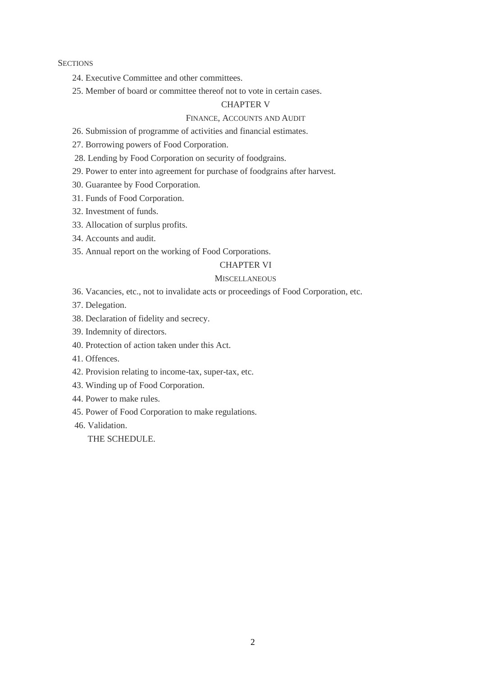### **SECTIONS**

- 24. Executive Committee and other committees.
- 25. Member of board or committee thereof not to vote in certain cases.

## CHAPTER V

## FINANCE, ACCOUNTS AND AUDIT

- 26. Submission of programme of activities and financial estimates.
- 27. Borrowing powers of Food Corporation.
- 28. Lending by Food Corporation on security of foodgrains.
- 29. Power to enter into agreement for purchase of foodgrains after harvest.
- 30. Guarantee by Food Corporation.
- 31. Funds of Food Corporation.
- 32. Investment of funds.
- 33. Allocation of surplus profits.
- 34. Accounts and audit.
- 35. Annual report on the working of Food Corporations.

#### CHAPTER VI

#### **MISCELLANEOUS**

- 36. Vacancies, etc., not to invalidate acts or proceedings of Food Corporation, etc.
- 37. Delegation.
- 38. Declaration of fidelity and secrecy.
- 39. Indemnity of directors.
- 40. Protection of action taken under this Act.
- 41. Offences.
- 42. Provision relating to income-tax, super-tax, etc.
- 43. Winding up of Food Corporation.
- 44. Power to make rules.
- 45. Power of Food Corporation to make regulations.
- 46. Validation.

## THE SCHEDULE.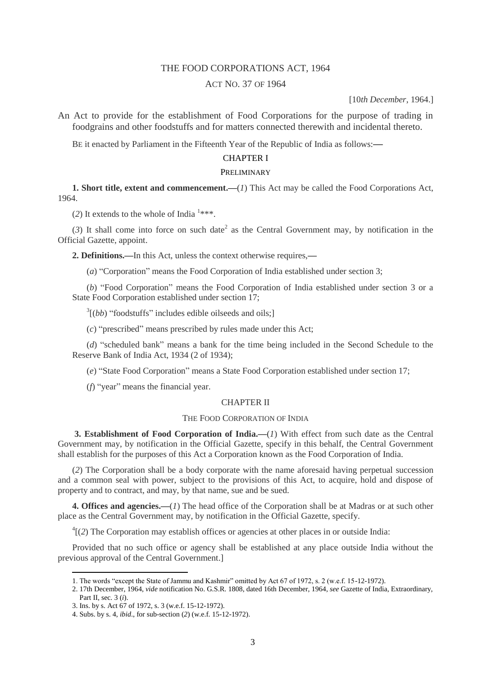## THE FOOD CORPORATIONS ACT, 1964

## ACT NO. 37 OF 1964

[10*th December*, 1964.]

An Act to provide for the establishment of Food Corporations for the purpose of trading in foodgrains and other foodstuffs and for matters connected therewith and incidental thereto.

BE it enacted by Parliament in the Fifteenth Year of the Republic of India as follows:**—**

### CHAPTER I

## PRELIMINARY

**1. Short title, extent and commencement.—**(*1*) This Act may be called the Food Corporations Act, 1964.

(2) It extends to the whole of India<sup>1\*\*\*</sup>.

 $(3)$  It sh[a](http://www.manupatrafast.in/ba/dispbotC.aspx?nActCompID=74651&iActID=1925#f2)ll come into force on such date<sup>2</sup> as the Central Government may, by notification in the Official Gazette, appoint.

**2. Definitions.—**In this Act, unless the context otherwise requires,**—**

(*a*) "Corporation" means the Food Corporation of India established under section 3;

(*b*) "Food Corporation" means the Food Corporation of India established under section 3 or a State Food Corporation established under section 17;

<sup>3</sup>[(*bb*) "foodstuffs" includes edible oilseeds and oils;]

(*c*) "prescribed" means prescribed by rules made under this Act;

(*d*) "scheduled bank" means a bank for the time being included in the Second Schedule to the Reserve Bank of India Act, 1934 (2 of 1934);

(*e*) "State Food Corporation" means a State Food Corporation established under section 17;

(*f*) "year" means the financial year.

#### CHAPTER II

#### THE FOOD CORPORATION OF INDIA

**3. Establishment of Food Corporation of India.—**(*1*) With effect from such date as the Central Government may, by notification in the Official Gazette, specify in this behalf, the Central Government shall establish for the purposes of this Act a Corporation known as the Food Corporation of India.

(*2*) The Corporation shall be a body corporate with the name aforesaid having perpetual succession and a common seal with power, subject to the provisions of this Act, to acquire, hold and dispose of property and to contract, and may, by that name, sue and be sued.

**4. Offices and agencies.—**(*1*) The head office of the Corporation shall be at Madras or at such other place as the Central Government may, by notification in the Official Gazette, specify.

4 [(*2*) The Corporation may establish offices or agencies at other places in or outside India:

Provided that no such office or agency shall be established at any place outside India without the previous approval of the Central Government.]

<sup>1.</sup> The words "except the State of Jammu and Kashmir" omitted by Act 67 of 1972, s. 2 (w.e.f. 15-12-1972).

<sup>2. 17</sup>th December, 1964, *vide* notification No. G.S.R. 1808, dated 16th December, 1964, *see* Gazette of India, Extraordinary, Part II, sec. 3 (*i*).

<sup>3.</sup> Ins. by s. Act 67 of 1972, s. 3 (w.e.f. 15-12-1972).

<sup>4.</sup> Subs. by s. 4, *ibid*., for sub-section (*2*) (w.e.f. 15-12-1972).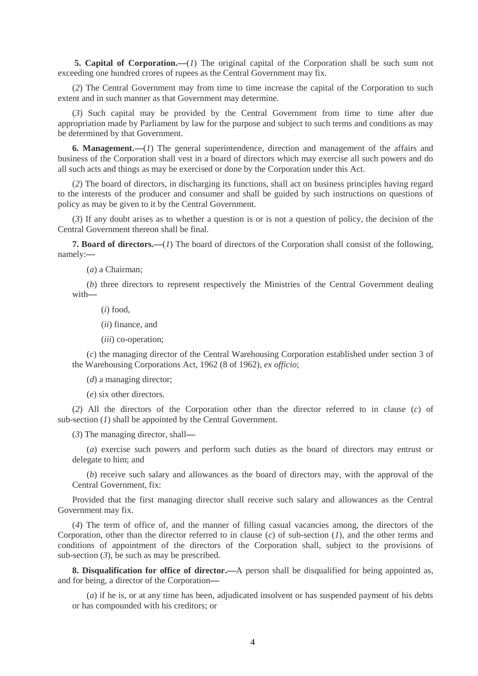**5. Capital of Corporation.—**(*1*) The original capital of the Corporation shall be such sum not exceeding one hundred crores of rupees as the Central Government may fix.

(*2*) The Central Government may from time to time increase the capital of the Corporation to such extent and in such manner as that Government may determine.

(*3*) Such capital may be provided by the Central Government from time to time after due appropriation made by Parliament by law for the purpose and subject to such terms and conditions as may be determined by that Government.

**6. Management.—**(*1*) The general superintendence, direction and management of the affairs and business of the Corporation shall vest in a board of directors which may exercise all such powers and do all such acts and things as may be exercised or done by the Corporation under this Act.

(*2*) The board of directors, in discharging its functions, shall act on business principles having regard to the interests of the producer and consumer and shall be guided by such instructions on questions of policy as may be given to it by the Central Government.

(*3*) If any doubt arises as to whether a question is or is not a question of policy, the decision of the Central Government thereon shall be final.

**7. Board of directors.—**(*1*) The board of directors of the Corporation shall consist of the following, namely:**—**

(*a*) a Chairman;

(*b*) three directors to represent respectively the Ministries of the Central Government dealing with**—**

(*i*) food,

(*ii*) finance, and

(*iii*) co-operation;

(*c*) the managing director of the Central Warehousing Corporation established under section 3 of the Warehousing Corporations Act, 1962 (8 of 1962), *ex officio*;

(*d*) a managing director;

(*e*) six other directors.

(*2*) All the directors of the Corporation other than the director referred to in clause (*c*) of sub-section (*1*) shall be appointed by the Central Government.

(*3*) The managing director, shall**—**

(*a*) exercise such powers and perform such duties as the board of directors may entrust or delegate to him; and

(*b*) receive such salary and allowances as the board of directors may, with the approval of the Central Government, fix:

Provided that the first managing director shall receive such salary and allowances as the Central Government may fix.

(*4*) The term of office of, and the manner of filling casual vacancies among, the directors of the Corporation, other than the director referred to in clause (*c*) of sub-section (*1*), and the other terms and conditions of appointment of the directors of the Corporation shall, subject to the provisions of sub-section  $(3)$ , be such as may be prescribed.

**8. Disqualification for office of director.—**A person shall be disqualified for being appointed as, and for being, a director of the Corporation**—**

(*a*) if he is, or at any time has been, adjudicated insolvent or has suspended payment of his debts or has compounded with his creditors; or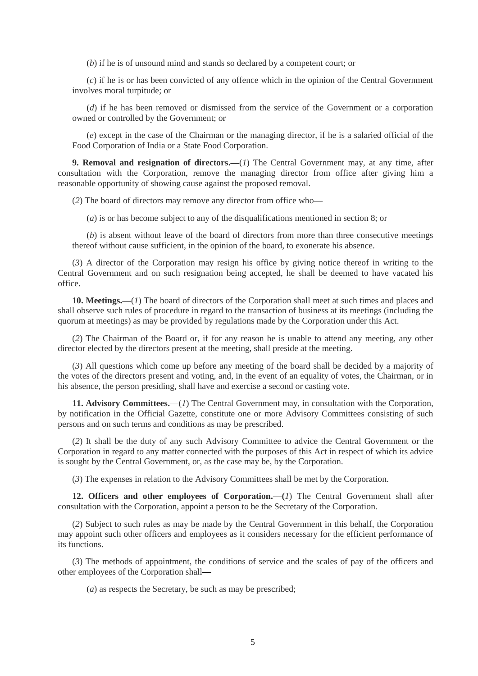(*b*) if he is of unsound mind and stands so declared by a competent court; or

(*c*) if he is or has been convicted of any offence which in the opinion of the Central Government involves moral turpitude; or

(*d*) if he has been removed or dismissed from the service of the Government or a corporation owned or controlled by the Government; or

(*e*) except in the case of the Chairman or the managing director, if he is a salaried official of the Food Corporation of India or a State Food Corporation.

**9. Removal and resignation of directors.—**(*1*) The Central Government may, at any time, after consultation with the Corporation, remove the managing director from office after giving him a reasonable opportunity of showing cause against the proposed removal.

(*2*) The board of directors may remove any director from office who**—**

(*a*) is or has become subject to any of the disqualifications mentioned in section 8; or

(*b*) is absent without leave of the board of directors from more than three consecutive meetings thereof without cause sufficient, in the opinion of the board, to exonerate his absence.

(*3*) A director of the Corporation may resign his office by giving notice thereof in writing to the Central Government and on such resignation being accepted, he shall be deemed to have vacated his office.

**10. Meetings.—**(*1*) The board of directors of the Corporation shall meet at such times and places and shall observe such rules of procedure in regard to the transaction of business at its meetings (including the quorum at meetings) as may be provided by regulations made by the Corporation under this Act.

(*2*) The Chairman of the Board or, if for any reason he is unable to attend any meeting, any other director elected by the directors present at the meeting, shall preside at the meeting.

(*3*) All questions which come up before any meeting of the board shall be decided by a majority of the votes of the directors present and voting, and, in the event of an equality of votes, the Chairman, or in his absence, the person presiding, shall have and exercise a second or casting vote.

**11. Advisory Committees.—**(*1*) The Central Government may, in consultation with the Corporation, by notification in the Official Gazette, constitute one or more Advisory Committees consisting of such persons and on such terms and conditions as may be prescribed.

(*2*) It shall be the duty of any such Advisory Committee to advice the Central Government or the Corporation in regard to any matter connected with the purposes of this Act in respect of which its advice is sought by the Central Government, or, as the case may be, by the Corporation.

(*3*) The expenses in relation to the Advisory Committees shall be met by the Corporation.

**12. Officers and other employees of Corporation.—(***1*) The Central Government shall after consultation with the Corporation, appoint a person to be the Secretary of the Corporation.

(*2*) Subject to such rules as may be made by the Central Government in this behalf, the Corporation may appoint such other officers and employees as it considers necessary for the efficient performance of its functions.

(*3*) The methods of appointment, the conditions of service and the scales of pay of the officers and other employees of the Corporation shall**—**

(*a*) as respects the Secretary, be such as may be prescribed;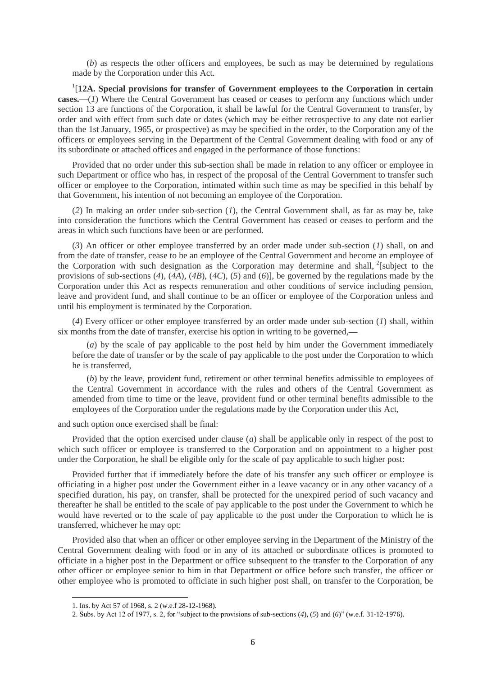(*b*) as respects the other officers and employees, be such as may be determined by regulations made by the Corporation under this Act.

<sup>1</sup>[12A. Special provisions for transfer of Government employees to the Corporation in certain **cases.—**(*1*) Where the Central Government has ceased or ceases to perform any functions which under section 13 are functions of the Corporation, it shall be lawful for the Central Government to transfer, by order and with effect from such date or dates (which may be either retrospective to any date not earlier than the 1st January, 1965, or prospective) as may be specified in the order, to the Corporation any of the officers or employees serving in the Department of the Central Government dealing with food or any of its subordinate or attached offices and engaged in the performance of those functions:

Provided that no order under this sub-section shall be made in relation to any officer or employee in such Department or office who has, in respect of the proposal of the Central Government to transfer such officer or employee to the Corporation, intimated within such time as may be specified in this behalf by that Government, his intention of not becoming an employee of the Corporation.

(*2*) In making an order under sub-section (*1*), the Central Government shall, as far as may be, take into consideration the functions which the Central Government has ceased or ceases to perform and the areas in which such functions have been or are performed.

(*3*) An officer or other employee transferred by an order made under sub-section (*1*) shall, on and from the date of transfer, cease to be an employee of the Central Government and become an employee of the Corporation with such designation as the Corporation may determine and shall, <sup>2</sup>[subject to the provisions of sub-sections (*4*), (*4A*), (*4B*), (*4C*), (*5*) and (*6*)], be governed by the regulations made by the Corporation under this Act as respects remuneration and other conditions of service including pension, leave and provident fund, and shall continue to be an officer or employee of the Corporation unless and until his employment is terminated by the Corporation.

(*4*) Every officer or other employee transferred by an order made under sub-section (*1*) shall, within six months from the date of transfer, exercise his option in writing to be governed,**—**

(*a*) by the scale of pay applicable to the post held by him under the Government immediately before the date of transfer or by the scale of pay applicable to the post under the Corporation to which he is transferred,

(*b*) by the leave, provident fund, retirement or other terminal benefits admissible to employees of the Central Government in accordance with the rules and others of the Central Government as amended from time to time or the leave, provident fund or other terminal benefits admissible to the employees of the Corporation under the regulations made by the Corporation under this Act,

and such option once exercised shall be final:

Provided that the option exercised under clause (*a*) shall be applicable only in respect of the post to which such officer or employee is transferred to the Corporation and on appointment to a higher post under the Corporation, he shall be eligible only for the scale of pay applicable to such higher post:

Provided further that if immediately before the date of his transfer any such officer or employee is officiating in a higher post under the Government either in a leave vacancy or in any other vacancy of a specified duration, his pay, on transfer, shall be protected for the unexpired period of such vacancy and thereafter he shall be entitled to the scale of pay applicable to the post under the Government to which he would have reverted or to the scale of pay applicable to the post under the Corporation to which he is transferred, whichever he may opt:

Provided also that when an officer or other employee serving in the Department of the Ministry of the Central Government dealing with food or in any of its attached or subordinate offices is promoted to officiate in a higher post in the Department or office subsequent to the transfer to the Corporation of any other officer or employee senior to him in that Department or office before such transfer, the officer or other employee who is promoted to officiate in such higher post shall, on transfer to the Corporation, be

<sup>1.</sup> Ins. by Act 57 of 1968, s. 2 (w.e.f 28-12-1968).

<sup>2.</sup> Subs. by Act 12 of 1977, s. 2, for "subject to the provisions of sub-sections (*4*), (*5*) and (*6*)" (w.e.f. 31-12-1976).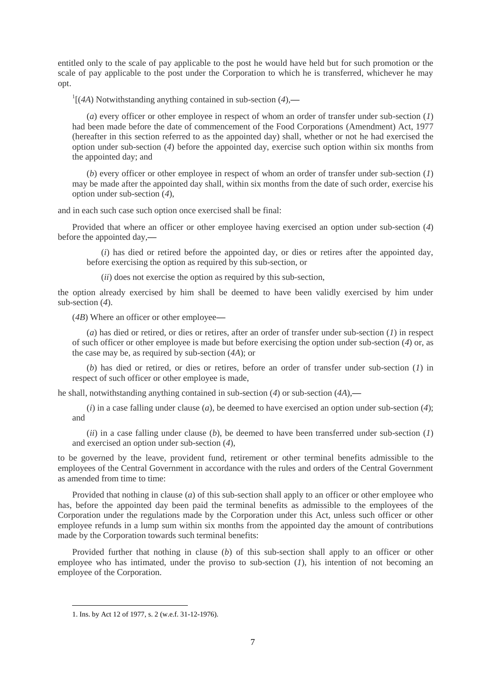entitled only to the scale of pay applicable to the post he would have held but for such promotion or the scale of pay applicable to the post under the Corporation to which he is transferred, whichever he may opt.

1 [(*4A*) Notwithstanding anything contained in sub-section (*4*),**—**

(*a*) every officer or other employee in respect of whom an order of transfer under sub-section (*1*) had been made before the date of commencement of the Food Corporations (Amendment) Act, 1977 (hereafter in this section referred to as the appointed day) shall, whether or not he had exercised the option under sub-section (*4*) before the appointed day, exercise such option within six months from the appointed day; and

(*b*) every officer or other employee in respect of whom an order of transfer under sub-section (*1*) may be made after the appointed day shall, within six months from the date of such order, exercise his option under sub-section (*4*),

and in each such case such option once exercised shall be final:

Provided that where an officer or other employee having exercised an option under sub-section (*4*) before the appointed day,**—**

(*i*) has died or retired before the appointed day, or dies or retires after the appointed day, before exercising the option as required by this sub-section, or

(*ii*) does not exercise the option as required by this sub-section,

the option already exercised by him shall be deemed to have been validly exercised by him under sub-section (*4*).

(*4B*) Where an officer or other employee**—**

(*a*) has died or retired, or dies or retires, after an order of transfer under sub-section (*1*) in respect of such officer or other employee is made but before exercising the option under sub-section (*4*) or, as the case may be, as required by sub-section (*4A*); or

(*b*) has died or retired, or dies or retires, before an order of transfer under sub-section (*1*) in respect of such officer or other employee is made,

he shall, notwithstanding anything contained in sub-section (*4*) or sub-section (*4A*),**—**

(*i*) in a case falling under clause (*a*), be deemed to have exercised an option under sub-section (*4*); and

(*ii*) in a case falling under clause (*b*), be deemed to have been transferred under sub-section (*1*) and exercised an option under sub-section (*4*),

to be governed by the leave, provident fund, retirement or other terminal benefits admissible to the employees of the Central Government in accordance with the rules and orders of the Central Government as amended from time to time:

Provided that nothing in clause (*a*) of this sub-section shall apply to an officer or other employee who has, before the appointed day been paid the terminal benefits as admissible to the employees of the Corporation under the regulations made by the Corporation under this Act, unless such officer or other employee refunds in a lump sum within six months from the appointed day the amount of contributions made by the Corporation towards such terminal benefits:

Provided further that nothing in clause (*b*) of this sub-section shall apply to an officer or other employee who has intimated, under the proviso to sub-section (*1*), his intention of not becoming an employee of the Corporation.

**.** 

<sup>1.</sup> Ins. by Act 12 of 1977, s. 2 (w.e.f. 31-12-1976).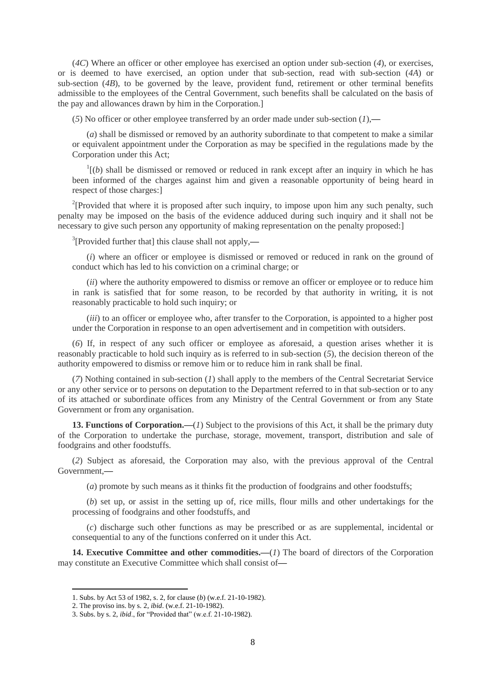(*4C*) Where an officer or other employee has exercised an option under sub-section (*4*), or exercises, or is deemed to have exercised, an option under that sub-section, read with sub-section (*4A*) or sub-section (*4B*), to be governed by the leave, provident fund, retirement or other terminal benefits admissible to the employees of the Central Government, such benefits shall be calculated on the basis of the pay and allowances drawn by him in the Corporation.]

(*5*) No officer or other employee transferred by an order made under sub-section (*1*),**—**

(*a*) shall be dismissed or removed by an authority subordinate to that competent to make a similar or equivalent appointment under the Corporation as may be specified in the regulations made by the Corporation under this Act;

 $\frac{1}{1}$ (*b*) shall be dismissed or removed or reduced in rank except after an inquiry in which he has been informed of the charges against him and given a reasonable opportunity of being heard in respect of those charges:]

<sup>2</sup>[Provided that where it is proposed after such inquiry, to impose upon him any such penalty, such penalty may be imposed on the basis of the evidence adduced during such inquiry and it shall not be necessary to give such person any opportunity of making representation on the penalty proposed:]

3 [Provided further that] this clause shall not apply,**—**

(*i*) where an officer or employee is dismissed or removed or reduced in rank on the ground of conduct which has led to his conviction on a criminal charge; or

(*ii*) where the authority empowered to dismiss or remove an officer or employee or to reduce him in rank is satisfied that for some reason, to be recorded by that authority in writing, it is not reasonably practicable to hold such inquiry; or

(*iii*) to an officer or employee who, after transfer to the Corporation, is appointed to a higher post under the Corporation in response to an open advertisement and in competition with outsiders.

(*6*) If, in respect of any such officer or employee as aforesaid, a question arises whether it is reasonably practicable to hold such inquiry as is referred to in sub-section (*5*), the decision thereon of the authority empowered to dismiss or remove him or to reduce him in rank shall be final.

(*7*) Nothing contained in sub-section (*1*) shall apply to the members of the Central Secretariat Service or any other service or to persons on deputation to the Department referred to in that sub-section or to any of its attached or subordinate offices from any Ministry of the Central Government or from any State Government or from any organisation.

**13. Functions of Corporation.—**(*1*) Subject to the provisions of this Act, it shall be the primary duty of the Corporation to undertake the purchase, storage, movement, transport, distribution and sale of foodgrains and other foodstuffs.

(*2*) Subject as aforesaid, the Corporation may also, with the previous approval of the Central Government,**—**

(*a*) promote by such means as it thinks fit the production of foodgrains and other foodstuffs;

(*b*) set up, or assist in the setting up of, rice mills, flour mills and other undertakings for the processing of foodgrains and other foodstuffs, and

(*c*) discharge such other functions as may be prescribed or as are supplemental, incidental or consequential to any of the functions conferred on it under this Act.

**14. Executive Committee and other commodities.—**(*1*) The board of directors of the Corporation may constitute an Executive Committee which shall consist of**—**

**.** 

<sup>1.</sup> Subs. by Act 53 of 1982, s. 2, for clause (*b*) (w.e.f. 21-10-1982).

<sup>2.</sup> The proviso ins. by s. 2, *ibid*. (w.e.f. 21-10-1982).

<sup>3.</sup> Subs. by s. 2, *ibid*., for "Provided that" (w.e.f. 21-10-1982).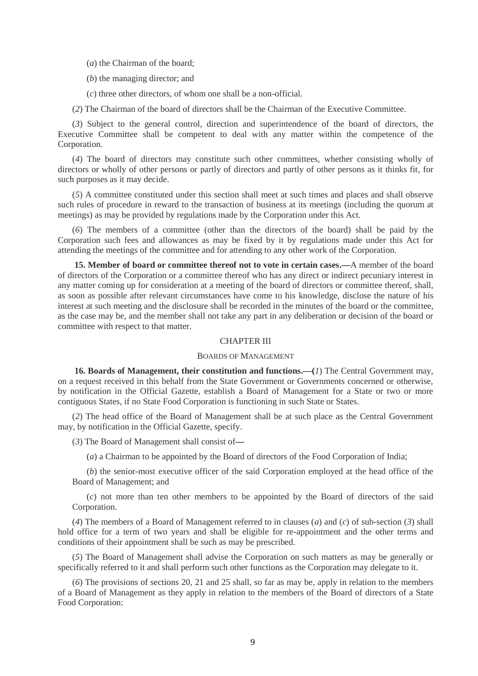(*a*) the Chairman of the board;

(*b*) the managing director; and

(*c*) three other directors, of whom one shall be a non-official.

(*2*) The Chairman of the board of directors shall be the Chairman of the Executive Committee.

(*3*) Subject to the general control, direction and superintendence of the board of directors, the Executive Committee shall be competent to deal with any matter within the competence of the Corporation.

(*4*) The board of directors may constitute such other committees, whether consisting wholly of directors or wholly of other persons or partly of directors and partly of other persons as it thinks fit, for such purposes as it may decide.

(*5*) A committee constituted under this section shall meet at such times and places and shall observe such rules of procedure in reward to the transaction of business at its meetings (including the quorum at meetings) as may be provided by regulations made by the Corporation under this Act.

(*6*) The members of a committee (other than the directors of the board) shall be paid by the Corporation such fees and allowances as may be fixed by it by regulations made under this Act for attending the meetings of the committee and for attending to any other work of the Corporation.

**15. Member of board or committee thereof not to vote in certain cases.—**A member of the board of directors of the Corporation or a committee thereof who has any direct or indirect pecuniary interest in any matter coming up for consideration at a meeting of the board of directors or committee thereof, shall, as soon as possible after relevant circumstances have come to his knowledge, disclose the nature of his interest at such meeting and the disclosure shall be recorded in the minutes of the board or the committee, as the case may be, and the member shall not take any part in any deliberation or decision of the board or committee with respect to that matter.

#### CHAPTER III

## BOARDS OF MANAGEMENT

**16. Boards of Management, their constitution and functions.—(***1*) The Central Government may, on a request received in this behalf from the State Government or Governments concerned or otherwise, by notification in the Official Gazette, establish a Board of Management for a State or two or more contiguous States, if no State Food Corporation is functioning in such State or States.

(*2*) The head office of the Board of Management shall be at such place as the Central Government may, by notification in the Official Gazette, specify.

(*3*) The Board of Management shall consist of**—**

(*a*) a Chairman to be appointed by the Board of directors of the Food Corporation of India;

(*b*) the senior-most executive officer of the said Corporation employed at the head office of the Board of Management; and

(*c*) not more than ten other members to be appointed by the Board of directors of the said Corporation.

(*4*) The members of a Board of Management referred to in clauses (*a*) and (*c*) of sub-section (*3*) shall hold office for a term of two years and shall be eligible for re-appointment and the other terms and conditions of their appointment shall be such as may be prescribed.

(*5*) The Board of Management shall advise the Corporation on such matters as may be generally or specifically referred to it and shall perform such other functions as the Corporation may delegate to it.

(*6*) The provisions of sections 20, 21 and 25 shall, so far as may be, apply in relation to the members of a Board of Management as they apply in relation to the members of the Board of directors of a State Food Corporation: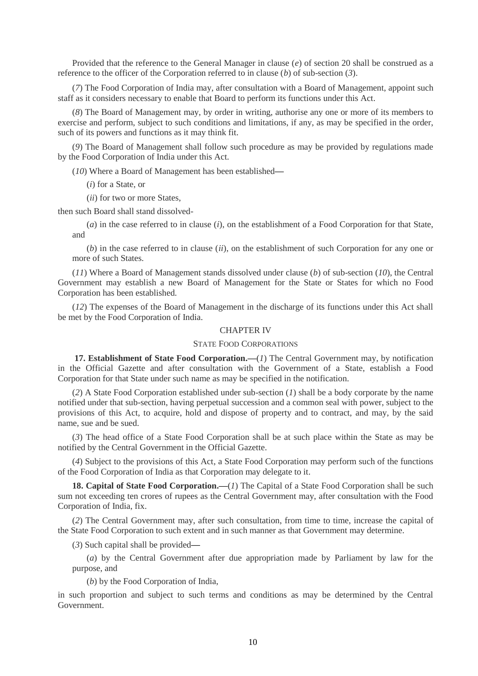Provided that the reference to the General Manager in clause (*e*) of section 20 shall be construed as a reference to the officer of the Corporation referred to in clause (*b*) of sub-section (*3*).

(*7*) The Food Corporation of India may, after consultation with a Board of Management, appoint such staff as it considers necessary to enable that Board to perform its functions under this Act.

(*8*) The Board of Management may, by order in writing, authorise any one or more of its members to exercise and perform, subject to such conditions and limitations, if any, as may be specified in the order, such of its powers and functions as it may think fit.

(*9*) The Board of Management shall follow such procedure as may be provided by regulations made by the Food Corporation of India under this Act.

(*10*) Where a Board of Management has been established**—**

(*i*) for a State, or

(*ii*) for two or more States,

then such Board shall stand dissolved-

(*a*) in the case referred to in clause (*i*), on the establishment of a Food Corporation for that State, and

(*b*) in the case referred to in clause (*ii*), on the establishment of such Corporation for any one or more of such States.

(*11*) Where a Board of Management stands dissolved under clause (*b*) of sub-section (*10*), the Central Government may establish a new Board of Management for the State or States for which no Food Corporation has been established.

(*12*) The expenses of the Board of Management in the discharge of its functions under this Act shall be met by the Food Corporation of India.

#### CHAPTER IV

### STATE FOOD CORPORATIONS

**17. Establishment of State Food Corporation.—**(*1*) The Central Government may, by notification in the Official Gazette and after consultation with the Government of a State, establish a Food Corporation for that State under such name as may be specified in the notification.

(*2*) A State Food Corporation established under sub-section (*1*) shall be a body corporate by the name notified under that sub-section, having perpetual succession and a common seal with power, subject to the provisions of this Act, to acquire, hold and dispose of property and to contract, and may, by the said name, sue and be sued.

(*3*) The head office of a State Food Corporation shall be at such place within the State as may be notified by the Central Government in the Official Gazette.

(*4*) Subject to the provisions of this Act, a State Food Corporation may perform such of the functions of the Food Corporation of India as that Corporation may delegate to it.

**18. Capital of State Food Corporation.—**(*1*) The Capital of a State Food Corporation shall be such sum not exceeding ten crores of rupees as the Central Government may, after consultation with the Food Corporation of India, fix.

(*2*) The Central Government may, after such consultation, from time to time, increase the capital of the State Food Corporation to such extent and in such manner as that Government may determine.

(*3*) Such capital shall be provided**—**

(*a*) by the Central Government after due appropriation made by Parliament by law for the purpose, and

(*b*) by the Food Corporation of India,

in such proportion and subject to such terms and conditions as may be determined by the Central Government.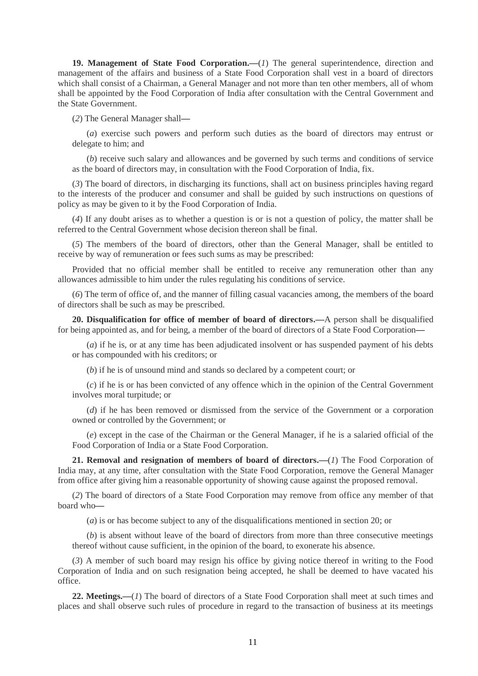**19. Management of State Food Corporation.—**(*1*) The general superintendence, direction and management of the affairs and business of a State Food Corporation shall vest in a board of directors which shall consist of a Chairman, a General Manager and not more than ten other members, all of whom shall be appointed by the Food Corporation of India after consultation with the Central Government and the State Government.

(*2*) The General Manager shall**—**

(*a*) exercise such powers and perform such duties as the board of directors may entrust or delegate to him; and

(*b*) receive such salary and allowances and be governed by such terms and conditions of service as the board of directors may, in consultation with the Food Corporation of India, fix.

(*3*) The board of directors, in discharging its functions, shall act on business principles having regard to the interests of the producer and consumer and shall be guided by such instructions on questions of policy as may be given to it by the Food Corporation of India.

(*4*) If any doubt arises as to whether a question is or is not a question of policy, the matter shall be referred to the Central Government whose decision thereon shall be final.

(*5*) The members of the board of directors, other than the General Manager, shall be entitled to receive by way of remuneration or fees such sums as may be prescribed:

Provided that no official member shall be entitled to receive any remuneration other than any allowances admissible to him under the rules regulating his conditions of service.

(*6*) The term of office of, and the manner of filling casual vacancies among, the members of the board of directors shall be such as may be prescribed.

**20. Disqualification for office of member of board of directors.—**A person shall be disqualified for being appointed as, and for being, a member of the board of directors of a State Food Corporation**—**

(*a*) if he is, or at any time has been adjudicated insolvent or has suspended payment of his debts or has compounded with his creditors; or

(*b*) if he is of unsound mind and stands so declared by a competent court; or

(*c*) if he is or has been convicted of any offence which in the opinion of the Central Government involves moral turpitude; or

(*d*) if he has been removed or dismissed from the service of the Government or a corporation owned or controlled by the Government; or

(*e*) except in the case of the Chairman or the General Manager, if he is a salaried official of the Food Corporation of India or a State Food Corporation.

**21. Removal and resignation of members of board of directors.—**(*1*) The Food Corporation of India may, at any time, after consultation with the State Food Corporation, remove the General Manager from office after giving him a reasonable opportunity of showing cause against the proposed removal.

(*2*) The board of directors of a State Food Corporation may remove from office any member of that board who**—**

(*a*) is or has become subject to any of the disqualifications mentioned in section 20; or

(*b*) is absent without leave of the board of directors from more than three consecutive meetings thereof without cause sufficient, in the opinion of the board, to exonerate his absence.

(*3*) A member of such board may resign his office by giving notice thereof in writing to the Food Corporation of India and on such resignation being accepted, he shall be deemed to have vacated his office.

**22. Meetings.—**(*1*) The board of directors of a State Food Corporation shall meet at such times and places and shall observe such rules of procedure in regard to the transaction of business at its meetings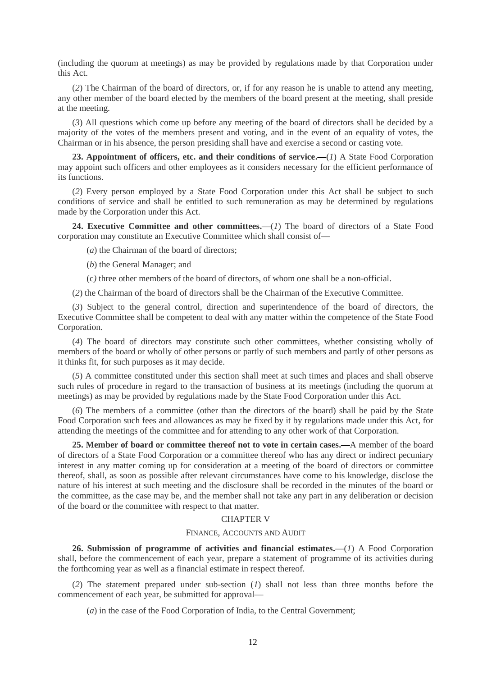(including the quorum at meetings) as may be provided by regulations made by that Corporation under this Act.

(*2*) The Chairman of the board of directors, or, if for any reason he is unable to attend any meeting, any other member of the board elected by the members of the board present at the meeting, shall preside at the meeting.

(*3*) All questions which come up before any meeting of the board of directors shall be decided by a majority of the votes of the members present and voting, and in the event of an equality of votes, the Chairman or in his absence, the person presiding shall have and exercise a second or casting vote.

**23. Appointment of officers, etc. and their conditions of service.—**(*1*) A State Food Corporation may appoint such officers and other employees as it considers necessary for the efficient performance of its functions.

(*2*) Every person employed by a State Food Corporation under this Act shall be subject to such conditions of service and shall be entitled to such remuneration as may be determined by regulations made by the Corporation under this Act.

**24. Executive Committee and other committees.—**(*1*) The board of directors of a State Food corporation may constitute an Executive Committee which shall consist of**—**

(*a*) the Chairman of the board of directors;

(*b*) the General Manager; and

(c*)* three other members of the board of directors, of whom one shall be a non-official.

(*2*) the Chairman of the board of directors shall be the Chairman of the Executive Committee.

(*3*) Subject to the general control, direction and superintendence of the board of directors, the Executive Committee shall be competent to deal with any matter within the competence of the State Food Corporation.

(*4*) The board of directors may constitute such other committees, whether consisting wholly of members of the board or wholly of other persons or partly of such members and partly of other persons as it thinks fit, for such purposes as it may decide.

(*5*) A committee constituted under this section shall meet at such times and places and shall observe such rules of procedure in regard to the transaction of business at its meetings (including the quorum at meetings) as may be provided by regulations made by the State Food Corporation under this Act.

(*6*) The members of a committee (other than the directors of the board) shall be paid by the State Food Corporation such fees and allowances as may be fixed by it by regulations made under this Act, for attending the meetings of the committee and for attending to any other work of that Corporation.

**25. Member of board or committee thereof not to vote in certain cases.—**A member of the board of directors of a State Food Corporation or a committee thereof who has any direct or indirect pecuniary interest in any matter coming up for consideration at a meeting of the board of directors or committee thereof, shall, as soon as possible after relevant circumstances have come to his knowledge, disclose the nature of his interest at such meeting and the disclosure shall be recorded in the minutes of the board or the committee, as the case may be, and the member shall not take any part in any deliberation or decision of the board or the committee with respect to that matter.

#### CHAPTER V

#### FINANCE, ACCOUNTS AND AUDIT

**26. Submission of programme of activities and financial estimates.—**(*1*) A Food Corporation shall, before the commencement of each year, prepare a statement of programme of its activities during the forthcoming year as well as a financial estimate in respect thereof.

(*2*) The statement prepared under sub-section (*1*) shall not less than three months before the commencement of each year, be submitted for approval**—**

(*a*) in the case of the Food Corporation of India, to the Central Government;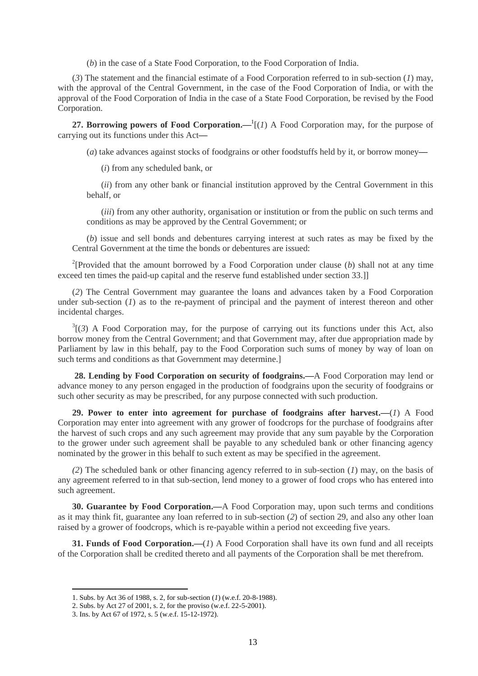(*b*) in the case of a State Food Corporation, to the Food Corporation of India.

(*3*) The statement and the financial estimate of a Food Corporation referred to in sub-section (*1*) may, with the approval of the Central Government, in the case of the Food Corporation of India, or with the approval of the Food Corporation of India in the case of a State Food Corporation, be revised by the Food Corporation.

**27. Borrowing powers of Food Corporation.—<sup>1</sup>[(***1***) A Food Corporation may, for the purpose of** carrying out its functions under this Act**—**

(*a*) take advances against stocks of foodgrains or other foodstuffs held by it, or borrow money**—**

(*i*) from any scheduled bank, or

(*ii*) from any other bank or financial institution approved by the Central Government in this behalf, or

(*iii*) from any other authority, organisation or institution or from the public on such terms and conditions as may be approved by the Central Government; or

(*b*) issue and sell bonds and debentures carrying interest at such rates as may be fixed by the Central Government at the time the bonds or debentures are issued:

<sup>2</sup>[Provided that the amount borrowed by a Food Corporation under clause (b) shall not at any time exceed ten times the paid-up capital and the reserve fund established under section 33.]]

(*2*) The Central Government may guarantee the loans and advances taken by a Food Corporation under sub-section (*1*) as to the re-payment of principal and the payment of interest thereon and other incidental charges.

 $3(3)$  A Food Corporation may, for the purpose of carrying out its functions under this Act, also borrow money from the Central Government; and that Government may, after due appropriation made by Parliament by law in this behalf, pay to the Food Corporation such sums of money by way of loan on such terms and conditions as that Government may determine.]

**28. Lending by Food Corporation on security of foodgrains.—**A Food Corporation may lend or advance money to any person engaged in the production of foodgrains upon the security of foodgrains or such other security as may be prescribed, for any purpose connected with such production.

**29. Power to enter into agreement for purchase of foodgrains after harvest.—**(*1*) A Food Corporation may enter into agreement with any grower of foodcrops for the purchase of foodgrains after the harvest of such crops and any such agreement may provide that any sum payable by the Corporation to the grower under such agreement shall be payable to any scheduled bank or other financing agency nominated by the grower in this behalf to such extent as may be specified in the agreement.

*(2*) The scheduled bank or other financing agency referred to in sub-section (*1*) may, on the basis of any agreement referred to in that sub-section, lend money to a grower of food crops who has entered into such agreement.

**30. Guarantee by Food Corporation.—**A Food Corporation may, upon such terms and conditions as it may think fit, guarantee any loan referred to in sub-section (*2*) of section 29, and also any other loan raised by a grower of foodcrops, which is re-payable within a period not exceeding five years.

**31. Funds of Food Corporation.—**(*1*) A Food Corporation shall have its own fund and all receipts of the Corporation shall be credited thereto and all payments of the Corporation shall be met therefrom.

**.** 

<sup>1.</sup> Subs. by Act 36 of 1988, s. 2, for sub-section (*1*) (w.e.f. 20-8-1988).

<sup>2.</sup> Subs. by Act 27 of 2001, s. 2, for the proviso (w.e.f. 22-5-2001).

<sup>3.</sup> Ins. by Act 67 of 1972, s. 5 (w.e.f. 15-12-1972).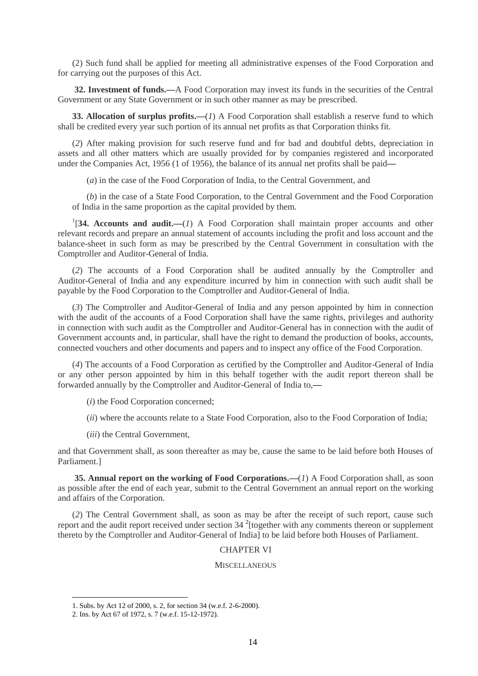(2) Such fund shall be applied for meeting all administrative expenses of the Food Corporation and for carrying out the purposes of this Act.

**32. Investment of funds.—**A Food Corporation may invest its funds in the securities of the Central Government or any State Government or in such other manner as may be prescribed.

**33. Allocation of surplus profits.—**(*1*) A Food Corporation shall establish a reserve fund to which shall be credited every year such portion of its annual net profits as that Corporation thinks fit.

(*2*) After making provision for such reserve fund and for bad and doubtful debts, depreciation in assets and all other matters which are usually provided for by companies registered and incorporated under the Companies Act, 1956 (1 of 1956), the balance of its annual net profits shall be paid**—**

(*a*) in the case of the Food Corporation of India, to the Central Government, and

(*b*) in the case of a State Food Corporation, to the Central Government and the Food Corporation of India in the same proportion as the capital provided by them.

<sup>1</sup>[34. Accounts and audit.—(*1*) A Food Corporation shall maintain proper accounts and other relevant records and prepare an annual statement of accounts including the profit and loss account and the balance-sheet in such form as may be prescribed by the Central Government in consultation with the Comptroller and Auditor-General of India.

(*2*) The accounts of a Food Corporation shall be audited annually by the Comptroller and Auditor-General of India and any expenditure incurred by him in connection with such audit shall be payable by the Food Corporation to the Comptroller and Auditor-General of India.

(*3*) The Comptroller and Auditor-General of India and any person appointed by him in connection with the audit of the accounts of a Food Corporation shall have the same rights, privileges and authority in connection with such audit as the Comptroller and Auditor-General has in connection with the audit of Government accounts and, in particular, shall have the right to demand the production of books, accounts, connected vouchers and other documents and papers and to inspect any office of the Food Corporation.

(*4*) The accounts of a Food Corporation as certified by the Comptroller and Auditor-General of India or any other person appointed by him in this behalf together with the audit report thereon shall be forwarded annually by the Comptroller and Auditor-General of India to,**—**

(*i*) the Food Corporation concerned;

- (*ii*) where the accounts relate to a State Food Corporation, also to the Food Corporation of India;
- (*iii*) the Central Government,

and that Government shall, as soon thereafter as may be, cause the same to be laid before both Houses of Parliament.]

**35. Annual report on the working of Food Corporations.—**(*1*) A Food Corporation shall, as soon as possible after the end of each year, submit to the Central Government an annual report on the working and affairs of the Corporation.

(*2*) The Central Government shall, as soon as may be after the receipt of such report, cause such report and the audit report received under section  $34<sup>2</sup>$  [together with any comments thereon or supplement thereto by the Comptroller and Auditor-General of India] to be laid before both Houses of Parliament.

## CHAPTER VI

#### **MISCELLANEOUS**

<sup>1.</sup> Subs. by Act 12 of 2000, s. 2, for section 34 (w.e.f. 2-6-2000).

<sup>2.</sup> Ins. by Act 67 of 1972, s. 7 (w.e.f. 15-12-1972).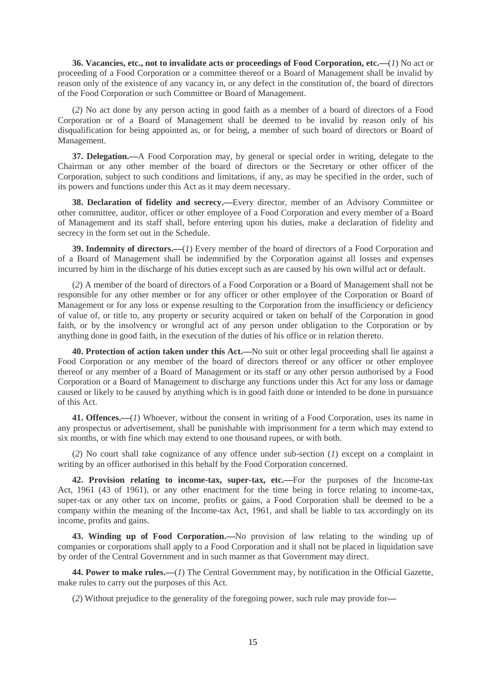**36. Vacancies, etc., not to invalidate acts or proceedings of Food Corporation, etc.—**(*1*) No act or proceeding of a Food Corporation or a committee thereof or a Board of Management shall be invalid by reason only of the existence of any vacancy in, or any defect in the constitution of, the board of directors of the Food Corporation or such Committee or Board of Management.

(*2*) No act done by any person acting in good faith as a member of a board of directors of a Food Corporation or of a Board of Management shall be deemed to be invalid by reason only of his disqualification for being appointed as, or for being, a member of such board of directors or Board of Management.

**37. Delegation.—**A Food Corporation may, by general or special order in writing, delegate to the Chairman or any other member of the board of directors or the Secretary or other officer of the Corporation, subject to such conditions and limitations, if any, as may be specified in the order, such of its powers and functions under this Act as it may deem necessary.

**38. Declaration of fidelity and secrecy.—**Every director, member of an Advisory Committee or other committee, auditor, officer or other employee of a Food Corporation and every member of a Board of Management and its staff shall, before entering upon his duties, make a declaration of fidelity and secrecy in the form set out in the Schedule.

**39. Indemnity of directors.—**(*1*) Every member of the board of directors of a Food Corporation and of a Board of Management shall be indemnified by the Corporation against all losses and expenses incurred by him in the discharge of his duties except such as are caused by his own wilful act or default.

(*2*) A member of the board of directors of a Food Corporation or a Board of Management shall not be responsible for any other member or for any officer or other employee of the Corporation or Board of Management or for any loss or expense resulting to the Corporation from the insufficiency or deficiency of value of, or title to, any property or security acquired or taken on behalf of the Corporation in good faith, or by the insolvency or wrongful act of any person under obligation to the Corporation or by anything done in good faith, in the execution of the duties of his office or in relation thereto.

**40. Protection of action taken under this Act.—**No suit or other legal proceeding shall lie against a Food Corporation or any member of the board of directors thereof or any officer or other employee thereof or any member of a Board of Management or its staff or any other person authorised by a Food Corporation or a Board of Management to discharge any functions under this Act for any loss or damage caused or likely to be caused by anything which is in good faith done or intended to be done in pursuance of this Act.

**41. Offences.—**(*1*) Whoever, without the consent in writing of a Food Corporation, uses its name in any prospectus or advertisement, shall be punishable with imprisonment for a term which may extend to six months, or with fine which may extend to one thousand rupees, or with both.

(*2*) No court shall take cognizance of any offence under sub-section (*1*) except on a complaint in writing by an officer authorised in this behalf by the Food Corporation concerned.

**42. Provision relating to income-tax, super-tax, etc.—**For the purposes of the Income-tax Act, 1961 (43 of 1961), or any other enactment for the time being in force relating to income-tax, super-tax or any other tax on income, profits or gains, a Food Corporation shall be deemed to be a company within the meaning of the Income-tax Act, 1961, and shall be liable to tax accordingly on its income, profits and gains.

**43. Winding up of Food Corporation.—**No provision of law relating to the winding up of companies or corporations shall apply to a Food Corporation and it shall not be placed in liquidation save by order of the Central Government and in such manner as that Government may direct.

**44. Power to make rules.—**(*1*) The Central Government may, by notification in the Official Gazette, make rules to carry out the purposes of this Act.

(*2*) Without prejudice to the generality of the foregoing power, such rule may provide for**—**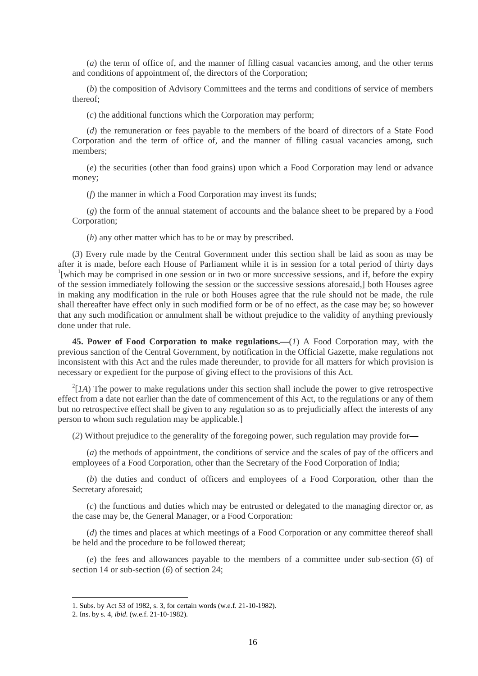(*a*) the term of office of, and the manner of filling casual vacancies among, and the other terms and conditions of appointment of, the directors of the Corporation;

(*b*) the composition of Advisory Committees and the terms and conditions of service of members thereof;

(*c*) the additional functions which the Corporation may perform;

(*d*) the remuneration or fees payable to the members of the board of directors of a State Food Corporation and the term of office of, and the manner of filling casual vacancies among, such members;

(*e*) the securities (other than food grains) upon which a Food Corporation may lend or advance money;

(*f*) the manner in which a Food Corporation may invest its funds;

(*g*) the form of the annual statement of accounts and the balance sheet to be prepared by a Food Corporation;

(*h*) any other matter which has to be or may by prescribed.

(*3*) Every rule made by the Central Government under this section shall be laid as soon as may be after it is made, before each House of Parliament while it is in session for a total period of thirty days <sup>1</sup>[which may be comprised in one session or in two or more successive sessions, and if, before the expiry of the session immediately following the session or the successive sessions aforesaid,] both Houses agree in making any modification in the rule or both Houses agree that the rule should not be made, the rule shall thereafter have effect only in such modified form or be of no effect, as the case may be; so however that any such modification or annulment shall be without prejudice to the validity of anything previously done under that rule.

**45. Power of Food Corporation to make regulations.—**(*1*) A Food Corporation may, with the previous sanction of the Central Government, by notification in the Official Gazette, make regulations not inconsistent with this Act and the rules made thereunder, to provide for all matters for which provision is necessary or expedient for the purpose of giving effect to the provisions of this Act.

 $^{2}[IA]$  The power to make regulations under this section shall include the power to give retrospective effect from a date not earlier than the date of commencement of this Act, to the regulations or any of them but no retrospective effect shall be given to any regulation so as to prejudicially affect the interests of any person to whom such regulation may be applicable.]

(*2*) Without prejudice to the generality of the foregoing power, such regulation may provide for**—**

(*a*) the methods of appointment, the conditions of service and the scales of pay of the officers and employees of a Food Corporation, other than the Secretary of the Food Corporation of India;

(*b*) the duties and conduct of officers and employees of a Food Corporation, other than the Secretary aforesaid;

(*c*) the functions and duties which may be entrusted or delegated to the managing director or, as the case may be, the General Manager, or a Food Corporation:

(*d*) the times and places at which meetings of a Food Corporation or any committee thereof shall be held and the procedure to be followed thereat;

(*e*) the fees and allowances payable to the members of a committee under sub-section (*6*) of section 14 or sub-section (*6*) of section 24;

<sup>1.</sup> Subs. by Act 53 of 1982, s. 3, for certain words (w.e.f. 21-10-1982).

<sup>2.</sup> Ins. by s. 4, *ibid*. (w.e.f. 21-10-1982).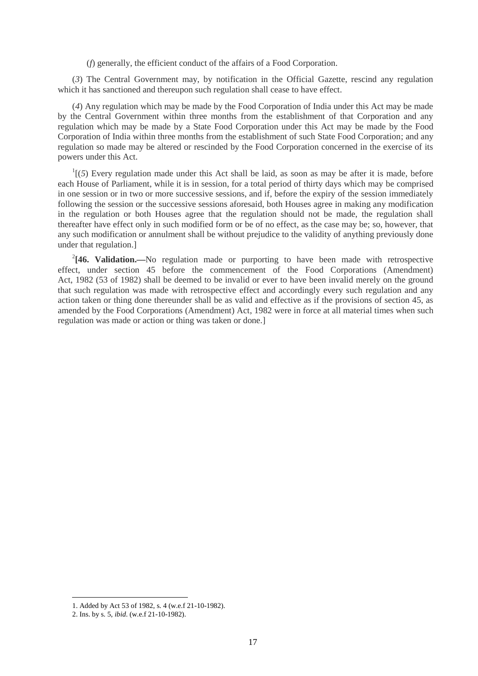(*f*) generally, the efficient conduct of the affairs of a Food Corporation.

(*3*) The Central Government may, by notification in the Official Gazette, rescind any regulation which it has sanctioned and thereupon such regulation shall cease to have effect.

(*4*) Any regulation which may be made by the Food Corporation of India under this Act may be made by the Central Government within three months from the establishment of that Corporation and any regulation which may be made by a State Food Corporation under this Act may be made by the Food Corporation of India within three months from the establishment of such State Food Corporation; and any regulation so made may be altered or rescinded by the Food Corporation concerned in the exercise of its powers under this Act.

 $\frac{1}{1}$ (5) Every regulation made under this Act shall be laid, as soon as may be after it is made, before each House of Parliament, while it is in session, for a total period of thirty days which may be comprised in one session or in two or more successive sessions, and if, before the expiry of the session immediately following the session or the successive sessions aforesaid, both Houses agree in making any modification in the regulation or both Houses agree that the regulation should not be made, the regulation shall thereafter have effect only in such modified form or be of no effect, as the case may be; so, however, that any such modification or annulment shall be without prejudice to the validity of anything previously done under that regulation.]

<sup>2</sup>[46. Validation.—No regulation made or purporting to have been made with retrospective effect, under section 45 before the commencement of the Food Corporations (Amendment) Act, 1982 (53 of 1982) shall be deemed to be invalid or ever to have been invalid merely on the ground that such regulation was made with retrospective effect and accordingly every such regulation and any action taken or thing done thereunder shall be as valid and effective as if the provisions of section 45, as amended by the Food Corporations (Amendment) Act, 1982 were in force at all material times when such regulation was made or action or thing was taken or done.]

<sup>1.</sup> Added by Act 53 of 1982, s. 4 (w.e.f 21-10-1982).

<sup>2.</sup> Ins. by s. 5, *ibid*. (w.e.f 21-10-1982).